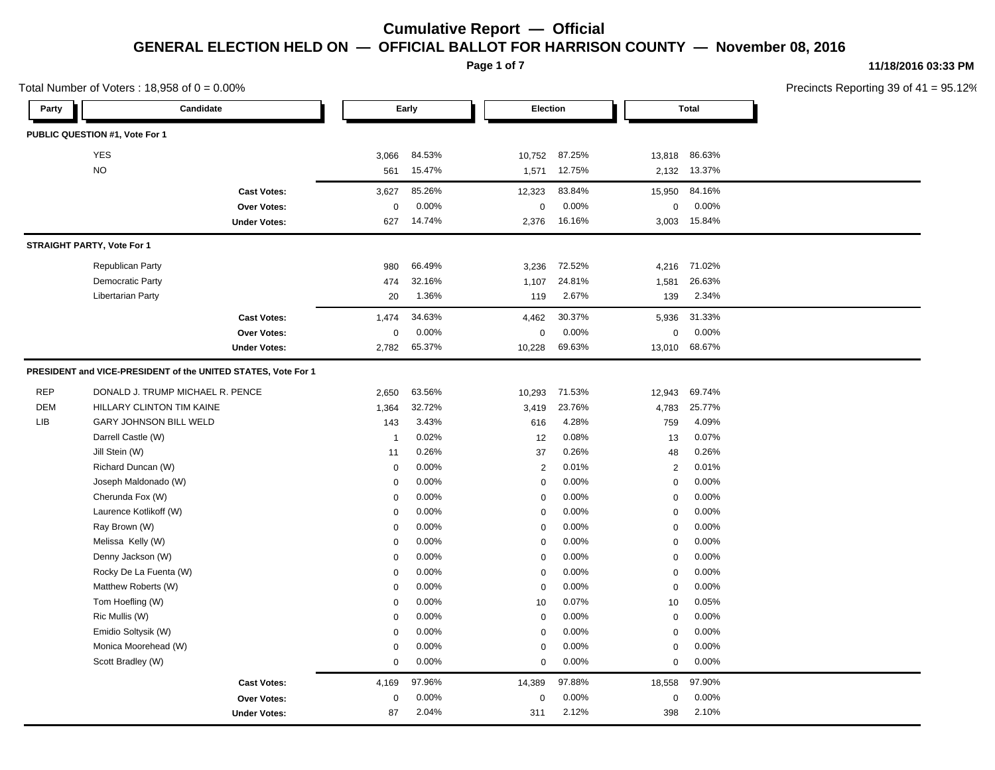**Page 1 of 7**

### **11/18/2016 03:33 PM**

| Total Number of Voters: $18,958$ of $0 = 0.00\%$ |                                  |                                                               |                  |        |                |          | Precincts Reporting 39 of 41 |              |  |
|--------------------------------------------------|----------------------------------|---------------------------------------------------------------|------------------|--------|----------------|----------|------------------------------|--------------|--|
| Party                                            | Candidate                        |                                                               |                  | Early  |                | Election |                              | <b>Total</b> |  |
|                                                  | PUBLIC QUESTION #1, Vote For 1   |                                                               |                  |        |                |          |                              |              |  |
|                                                  | <b>YES</b>                       |                                                               | 3,066            | 84.53% | 10,752         | 87.25%   | 13,818                       | 86.63%       |  |
|                                                  | <b>NO</b>                        |                                                               | 561              | 15.47% | 1,571          | 12.75%   | 2,132                        | 13.37%       |  |
|                                                  |                                  | <b>Cast Votes:</b>                                            | 3,627            | 85.26% | 12,323         | 83.84%   | 15,950                       | 84.16%       |  |
|                                                  |                                  | Over Votes:                                                   | $\boldsymbol{0}$ | 0.00%  | 0              | 0.00%    | 0                            | 0.00%        |  |
|                                                  |                                  | <b>Under Votes:</b>                                           | 627              | 14.74% | 2,376          | 16.16%   | 3,003                        | 15.84%       |  |
|                                                  | STRAIGHT PARTY, Vote For 1       |                                                               |                  |        |                |          |                              |              |  |
|                                                  | <b>Republican Party</b>          |                                                               | 980              | 66.49% | 3,236          | 72.52%   | 4,216                        | 71.02%       |  |
|                                                  | Democratic Party                 |                                                               | 474              | 32.16% | 1,107          | 24.81%   | 1,581                        | 26.63%       |  |
|                                                  | Libertarian Party                |                                                               | 20               | 1.36%  | 119            | 2.67%    | 139                          | 2.34%        |  |
|                                                  |                                  | <b>Cast Votes:</b>                                            | 1,474            | 34.63% | 4,462          | 30.37%   | 5,936                        | 31.33%       |  |
|                                                  |                                  | Over Votes:                                                   | 0                | 0.00%  | 0              | 0.00%    | 0                            | 0.00%        |  |
|                                                  |                                  | <b>Under Votes:</b>                                           | 2,782            | 65.37% | 10,228         | 69.63%   | 13,010                       | 68.67%       |  |
|                                                  |                                  | PRESIDENT and VICE-PRESIDENT of the UNITED STATES, Vote For 1 |                  |        |                |          |                              |              |  |
| <b>REP</b>                                       | DONALD J. TRUMP MICHAEL R. PENCE |                                                               | 2,650            | 63.56% | 10,293         | 71.53%   | 12,943                       | 69.74%       |  |
| <b>DEM</b>                                       | HILLARY CLINTON TIM KAINE        |                                                               | 1,364            | 32.72% | 3,419          | 23.76%   | 4,783                        | 25.77%       |  |
| LIB                                              | <b>GARY JOHNSON BILL WELD</b>    |                                                               | 143              | 3.43%  | 616            | 4.28%    | 759                          | 4.09%        |  |
|                                                  | Darrell Castle (W)               |                                                               | $\overline{1}$   | 0.02%  | 12             | 0.08%    | 13                           | 0.07%        |  |
|                                                  | Jill Stein (W)                   |                                                               | 11               | 0.26%  | 37             | 0.26%    | 48                           | 0.26%        |  |
|                                                  | Richard Duncan (W)               |                                                               | 0                | 0.00%  | $\overline{2}$ | 0.01%    | $\overline{2}$               | 0.01%        |  |
|                                                  | Joseph Maldonado (W)             |                                                               | 0                | 0.00%  | $\Omega$       | 0.00%    | $\mathbf 0$                  | 0.00%        |  |
|                                                  | Cherunda Fox (W)                 |                                                               | 0                | 0.00%  | $\mathbf 0$    | 0.00%    | $\mathbf 0$                  | 0.00%        |  |
|                                                  | Laurence Kotlikoff (W)           |                                                               | 0                | 0.00%  | 0              | 0.00%    | 0                            | 0.00%        |  |
|                                                  | Ray Brown (W)                    |                                                               | 0                | 0.00%  | $\Omega$       | 0.00%    | $\mathbf 0$                  | 0.00%        |  |
|                                                  | Melissa Kelly (W)                |                                                               | $\Omega$         | 0.00%  | $\Omega$       | 0.00%    | $\mathbf 0$                  | 0.00%        |  |
|                                                  | Denny Jackson (W)                |                                                               | 0                | 0.00%  | $\mathbf 0$    | 0.00%    | $\mathbf 0$                  | 0.00%        |  |
|                                                  | Rocky De La Fuenta (W)           |                                                               | 0                | 0.00%  | 0              | 0.00%    | $\mathbf 0$                  | 0.00%        |  |
|                                                  | Matthew Roberts (W)              |                                                               | 0                | 0.00%  | $\mathbf 0$    | 0.00%    | $\mathbf 0$                  | 0.00%        |  |
|                                                  | Tom Hoefling (W)                 |                                                               | 0                | 0.00%  | 10             | 0.07%    | 10                           | 0.05%        |  |
|                                                  | Ric Mullis (W)                   |                                                               | 0                | 0.00%  | $\mathbf 0$    | 0.00%    | $\mathbf 0$                  | 0.00%        |  |
|                                                  | Emidio Soltysik (W)              |                                                               | 0                | 0.00%  | 0              | 0.00%    | 0                            | 0.00%        |  |
|                                                  | Monica Moorehead (W)             |                                                               | $\mathbf 0$      | 0.00%  | $\Omega$       | 0.00%    | 0                            | 0.00%        |  |
|                                                  | Scott Bradley (W)                |                                                               | 0                | 0.00%  | $\mathbf 0$    | 0.00%    | $\mathbf 0$                  | 0.00%        |  |
|                                                  |                                  | <b>Cast Votes:</b>                                            | 4,169            | 97.96% | 14,389         | 97.88%   | 18,558                       | 97.90%       |  |
|                                                  |                                  | Over Votes:                                                   | $\mathbf 0$      | 0.00%  | 0              | 0.00%    | $\mathbf 0$                  | 0.00%        |  |
|                                                  |                                  | <b>Under Votes:</b>                                           | 87               | 2.04%  | 311            | 2.12%    | 398                          | 2.10%        |  |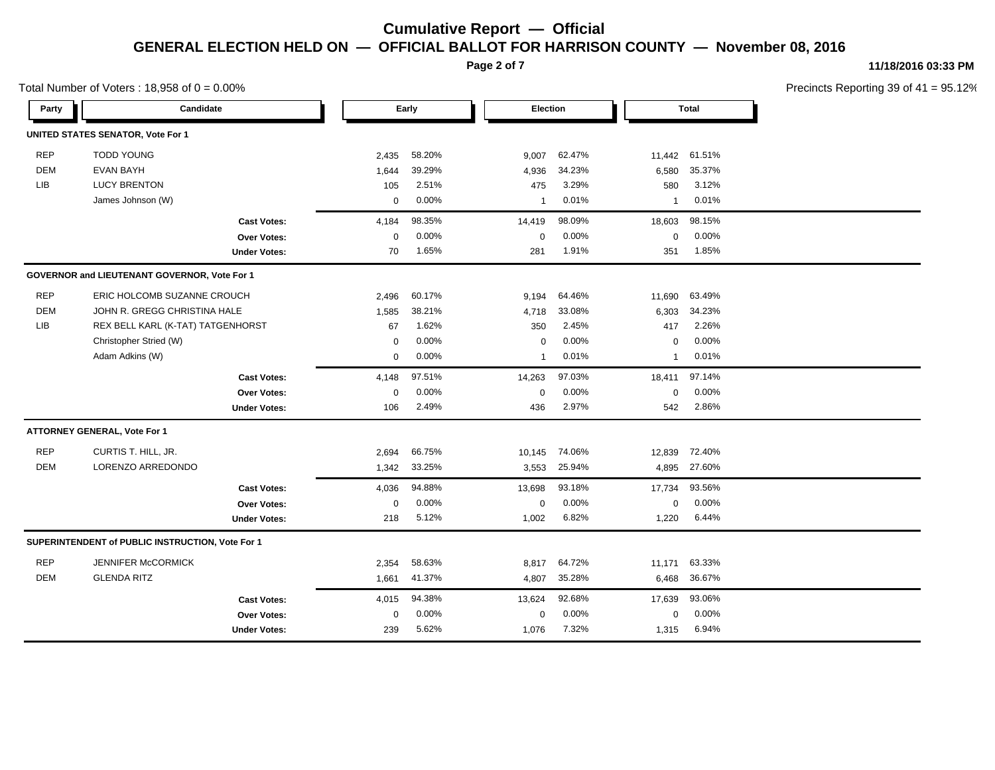**Page 2 of 7**

### **11/18/2016 03:33 PM**

| Total Number of Voters: $18,958$ of $0 = 0.00\%$ |                                                  |             |          |              |                 |              | Precincts Reporting 39 of 4 |  |
|--------------------------------------------------|--------------------------------------------------|-------------|----------|--------------|-----------------|--------------|-----------------------------|--|
| Party                                            | Candidate                                        |             | Early    |              | <b>Election</b> |              | <b>Total</b>                |  |
|                                                  | <b>UNITED STATES SENATOR, Vote For 1</b>         |             |          |              |                 |              |                             |  |
| <b>REP</b>                                       | <b>TODD YOUNG</b>                                | 2,435       | 58.20%   | 9,007        | 62.47%          | 11,442       | 61.51%                      |  |
| <b>DEM</b>                                       | <b>EVAN BAYH</b>                                 | 1,644       | 39.29%   | 4,936        | 34.23%          | 6,580        | 35.37%                      |  |
| LIB                                              | <b>LUCY BRENTON</b>                              | 105         | 2.51%    | 475          | 3.29%           | 580          | 3.12%                       |  |
|                                                  | James Johnson (W)                                | 0           | 0.00%    | $\mathbf{1}$ | 0.01%           | $\mathbf{1}$ | 0.01%                       |  |
|                                                  | <b>Cast Votes:</b>                               | 4,184       | 98.35%   | 14,419       | 98.09%          | 18,603       | 98.15%                      |  |
|                                                  | Over Votes:                                      | $\mathbf 0$ | 0.00%    | $\mathbf 0$  | 0.00%           | $\mathbf 0$  | 0.00%                       |  |
|                                                  | <b>Under Votes:</b>                              | 70          | 1.65%    | 281          | 1.91%           | 351          | 1.85%                       |  |
|                                                  | GOVERNOR and LIEUTENANT GOVERNOR, Vote For 1     |             |          |              |                 |              |                             |  |
| <b>REP</b>                                       | ERIC HOLCOMB SUZANNE CROUCH                      | 2,496       | 60.17%   | 9,194        | 64.46%          | 11,690       | 63.49%                      |  |
| <b>DEM</b>                                       | JOHN R. GREGG CHRISTINA HALE                     | 1,585       | 38.21%   | 4,718        | 33.08%          | 6,303        | 34.23%                      |  |
| LIB                                              | REX BELL KARL (K-TAT) TATGENHORST                | 67          | 1.62%    | 350          | 2.45%           | 417          | 2.26%                       |  |
|                                                  | Christopher Stried (W)                           | 0           | 0.00%    | 0            | 0.00%           | 0            | 0.00%                       |  |
|                                                  | Adam Adkins (W)                                  | $\mathbf 0$ | $0.00\%$ | $\mathbf{1}$ | 0.01%           | $\mathbf{1}$ | 0.01%                       |  |
|                                                  | <b>Cast Votes:</b>                               | 4,148       | 97.51%   | 14,263       | 97.03%          | 18,411       | 97.14%                      |  |
|                                                  | Over Votes:                                      | 0           | 0.00%    | $\mathbf 0$  | 0.00%           | $\mathbf 0$  | 0.00%                       |  |
|                                                  | <b>Under Votes:</b>                              | 106         | 2.49%    | 436          | 2.97%           | 542          | 2.86%                       |  |
|                                                  | ATTORNEY GENERAL, Vote For 1                     |             |          |              |                 |              |                             |  |
| <b>REP</b>                                       | CURTIS T. HILL, JR.                              | 2,694       | 66.75%   | 10,145       | 74.06%          | 12,839       | 72.40%                      |  |
| <b>DEM</b>                                       | LORENZO ARREDONDO                                | 1,342       | 33.25%   | 3,553        | 25.94%          | 4,895        | 27.60%                      |  |
|                                                  | <b>Cast Votes:</b>                               | 4,036       | 94.88%   | 13,698       | 93.18%          | 17,734       | 93.56%                      |  |
|                                                  | Over Votes:                                      | $\mathbf 0$ | 0.00%    | $\mathbf 0$  | 0.00%           | $\mathbf 0$  | 0.00%                       |  |
|                                                  | <b>Under Votes:</b>                              | 218         | 5.12%    | 1,002        | 6.82%           | 1,220        | 6.44%                       |  |
|                                                  | SUPERINTENDENT of PUBLIC INSTRUCTION, Vote For 1 |             |          |              |                 |              |                             |  |
| <b>REP</b>                                       | JENNIFER McCORMICK                               | 2,354       | 58.63%   | 8,817        | 64.72%          | 11,171       | 63.33%                      |  |
| <b>DEM</b>                                       | <b>GLENDA RITZ</b>                               | 1,661       | 41.37%   | 4,807        | 35.28%          | 6,468        | 36.67%                      |  |
|                                                  | <b>Cast Votes:</b>                               | 4,015       | 94.38%   | 13,624       | 92.68%          | 17,639       | 93.06%                      |  |
|                                                  | Over Votes:                                      | $\mathbf 0$ | 0.00%    | $\mathbf 0$  | 0.00%           | $\Omega$     | 0.00%                       |  |
|                                                  | <b>Under Votes:</b>                              | 239         | 5.62%    | 1,076        | 7.32%           | 1,315        | 6.94%                       |  |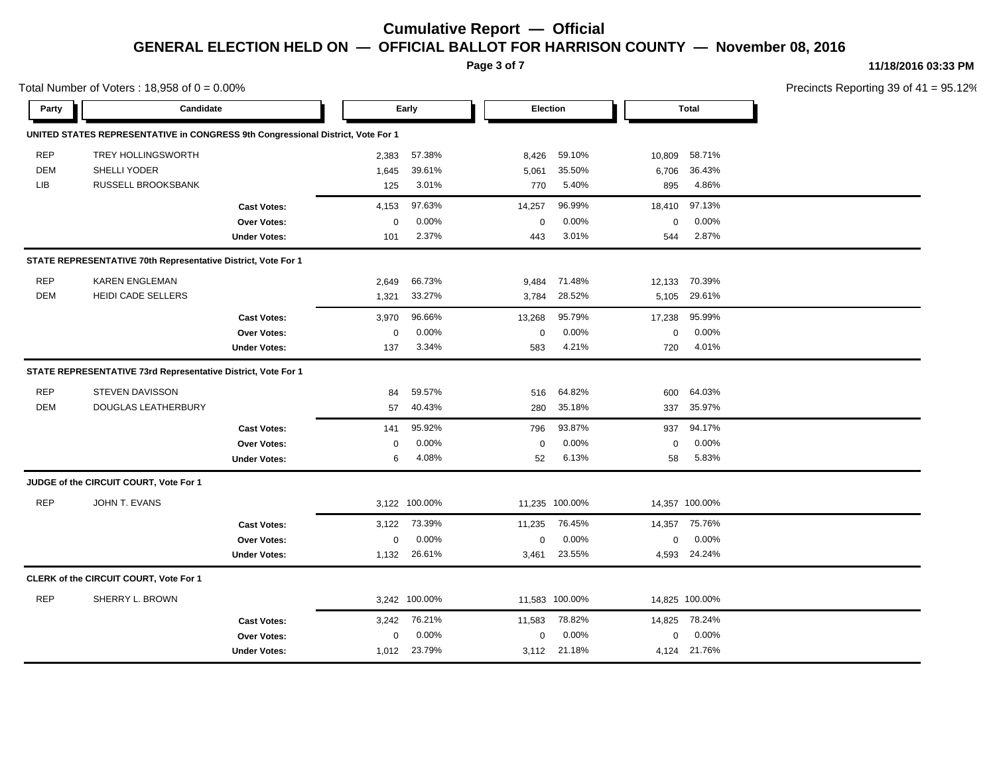**Page 3 of 7**

### **11/18/2016 03:33 PM**

| Total Number of Voters: $18,958$ of $0 = 0.00\%$ |                                                                                 |                     |             |               |             |                |             | Precincts Reporting 39 of 4 |  |
|--------------------------------------------------|---------------------------------------------------------------------------------|---------------------|-------------|---------------|-------------|----------------|-------------|-----------------------------|--|
| Party                                            | Candidate                                                                       |                     |             | Early         |             | Election       |             | <b>Total</b>                |  |
|                                                  | UNITED STATES REPRESENTATIVE in CONGRESS 9th Congressional District, Vote For 1 |                     |             |               |             |                |             |                             |  |
| <b>REP</b>                                       | <b>TREY HOLLINGSWORTH</b>                                                       |                     | 2,383       | 57.38%        | 8,426       | 59.10%         | 10,809      | 58.71%                      |  |
| <b>DEM</b>                                       | SHELLI YODER                                                                    |                     | 1,645       | 39.61%        | 5,061       | 35.50%         | 6,706       | 36.43%                      |  |
| LIB                                              | RUSSELL BROOKSBANK                                                              |                     | 125         | 3.01%         | 770         | 5.40%          | 895         | 4.86%                       |  |
|                                                  |                                                                                 | <b>Cast Votes:</b>  | 4,153       | 97.63%        | 14,257      | 96.99%         | 18,410      | 97.13%                      |  |
|                                                  |                                                                                 | Over Votes:         | $\mathbf 0$ | 0.00%         | $\pmb{0}$   | 0.00%          | $\mathbf 0$ | 0.00%                       |  |
|                                                  |                                                                                 | <b>Under Votes:</b> | 101         | 2.37%         | 443         | 3.01%          | 544         | 2.87%                       |  |
|                                                  | STATE REPRESENTATIVE 70th Representative District, Vote For 1                   |                     |             |               |             |                |             |                             |  |
| <b>REP</b>                                       | <b>KAREN ENGLEMAN</b>                                                           |                     | 2,649       | 66.73%        | 9,484       | 71.48%         | 12,133      | 70.39%                      |  |
| <b>DEM</b>                                       | <b>HEIDI CADE SELLERS</b>                                                       |                     | 1,321       | 33.27%        | 3,784       | 28.52%         | 5,105       | 29.61%                      |  |
|                                                  |                                                                                 | <b>Cast Votes:</b>  | 3,970       | 96.66%        | 13,268      | 95.79%         | 17,238      | 95.99%                      |  |
|                                                  |                                                                                 | Over Votes:         | $\mathbf 0$ | 0.00%         | $\mathbf 0$ | 0.00%          | $\mathbf 0$ | 0.00%                       |  |
|                                                  |                                                                                 | <b>Under Votes:</b> | 137         | 3.34%         | 583         | 4.21%          | 720         | 4.01%                       |  |
|                                                  | STATE REPRESENTATIVE 73rd Representative District, Vote For 1                   |                     |             |               |             |                |             |                             |  |
| <b>REP</b>                                       | <b>STEVEN DAVISSON</b>                                                          |                     | 84          | 59.57%        | 516         | 64.82%         | 600         | 64.03%                      |  |
| <b>DEM</b>                                       | DOUGLAS LEATHERBURY                                                             |                     | 57          | 40.43%        | 280         | 35.18%         | 337         | 35.97%                      |  |
|                                                  |                                                                                 | <b>Cast Votes:</b>  | 141         | 95.92%        | 796         | 93.87%         | 937         | 94.17%                      |  |
|                                                  |                                                                                 | <b>Over Votes:</b>  | $\mathbf 0$ | 0.00%         | $\mathbf 0$ | 0.00%          | $\Omega$    | 0.00%                       |  |
|                                                  |                                                                                 | <b>Under Votes:</b> | 6           | 4.08%         | 52          | 6.13%          | 58          | 5.83%                       |  |
|                                                  | JUDGE of the CIRCUIT COURT, Vote For 1                                          |                     |             |               |             |                |             |                             |  |
| <b>REP</b>                                       | JOHN T. EVANS                                                                   |                     |             | 3,122 100.00% |             | 11,235 100.00% |             | 14,357 100.00%              |  |
|                                                  |                                                                                 | <b>Cast Votes:</b>  |             | 3,122 73.39%  | 11,235      | 76.45%         |             | 14,357 75.76%               |  |
|                                                  |                                                                                 | Over Votes:         | $\mathbf 0$ | 0.00%         | $\pmb{0}$   | 0.00%          | $\mathbf 0$ | 0.00%                       |  |
|                                                  |                                                                                 | <b>Under Votes:</b> | 1,132       | 26.61%        | 3,461       | 23.55%         |             | 4,593 24.24%                |  |
|                                                  | CLERK of the CIRCUIT COURT, Vote For 1                                          |                     |             |               |             |                |             |                             |  |
| <b>REP</b>                                       | SHERRY L. BROWN                                                                 |                     |             | 3,242 100.00% |             | 11,583 100.00% |             | 14,825 100.00%              |  |
|                                                  |                                                                                 | <b>Cast Votes:</b>  | 3,242       | 76.21%        | 11,583      | 78.82%         | 14,825      | 78.24%                      |  |
|                                                  |                                                                                 | Over Votes:         | $\Omega$    | 0.00%         | $\mathbf 0$ | 0.00%          | $\mathbf 0$ | 0.00%                       |  |
|                                                  |                                                                                 | <b>Under Votes:</b> |             | 1,012 23.79%  |             | 3,112 21.18%   |             | 4,124 21.76%                |  |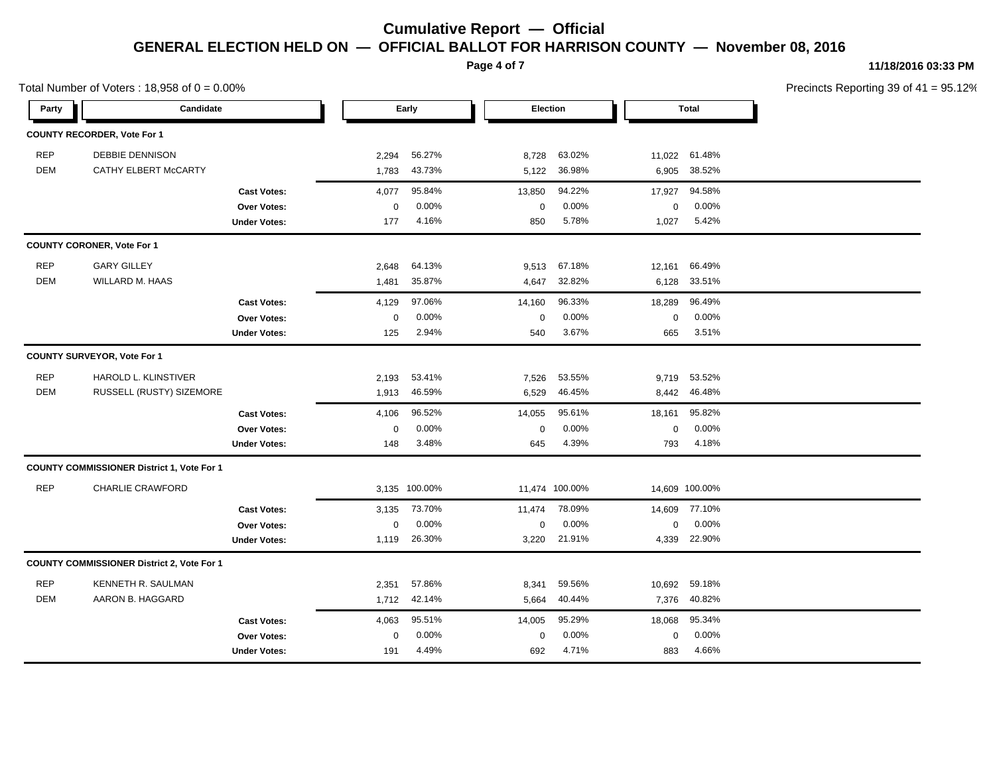**Page 4 of 7**

## **11/18/2016 03:33 PM**

| Total Number of Voters: $18,958$ of $0 = 0.00\%$ |                                                   |                     |             |               |             |                |             | Precincts Reporting 39 of 4 |  |
|--------------------------------------------------|---------------------------------------------------|---------------------|-------------|---------------|-------------|----------------|-------------|-----------------------------|--|
| Party                                            | Candidate                                         |                     |             | Early         |             | Election       |             | <b>Total</b>                |  |
|                                                  | COUNTY RECORDER, Vote For 1                       |                     |             |               |             |                |             |                             |  |
| <b>REP</b>                                       | <b>DEBBIE DENNISON</b>                            |                     | 2,294       | 56.27%        | 8,728       | 63.02%         | 11,022      | 61.48%                      |  |
| <b>DEM</b>                                       | CATHY ELBERT McCARTY                              |                     | 1,783       | 43.73%        | 5,122       | 36.98%         | 6,905       | 38.52%                      |  |
|                                                  |                                                   | <b>Cast Votes:</b>  | 4,077       | 95.84%        | 13,850      | 94.22%         | 17,927      | 94.58%                      |  |
|                                                  |                                                   | Over Votes:         | $\pmb{0}$   | 0.00%         | $\mathbf 0$ | 0.00%          | $\pmb{0}$   | 0.00%                       |  |
|                                                  |                                                   | <b>Under Votes:</b> | 177         | 4.16%         | 850         | 5.78%          | 1,027       | 5.42%                       |  |
|                                                  | <b>COUNTY CORONER, Vote For 1</b>                 |                     |             |               |             |                |             |                             |  |
| <b>REP</b>                                       | <b>GARY GILLEY</b>                                |                     | 2,648       | 64.13%        | 9,513       | 67.18%         | 12,161      | 66.49%                      |  |
| <b>DEM</b>                                       | WILLARD M. HAAS                                   |                     | 1,481       | 35.87%        | 4,647       | 32.82%         | 6,128       | 33.51%                      |  |
|                                                  |                                                   | <b>Cast Votes:</b>  | 4,129       | 97.06%        | 14,160      | 96.33%         | 18,289      | 96.49%                      |  |
|                                                  |                                                   | Over Votes:         | $\pmb{0}$   | 0.00%         | $\mathbf 0$ | 0.00%          | $\mathbf 0$ | 0.00%                       |  |
|                                                  |                                                   | <b>Under Votes:</b> | 125         | 2.94%         | 540         | 3.67%          | 665         | 3.51%                       |  |
|                                                  | COUNTY SURVEYOR, Vote For 1                       |                     |             |               |             |                |             |                             |  |
| <b>REP</b>                                       | HAROLD L. KLINSTIVER                              |                     | 2,193       | 53.41%        | 7,526       | 53.55%         |             | 9,719 53.52%                |  |
| DEM                                              | RUSSELL (RUSTY) SIZEMORE                          |                     | 1,913       | 46.59%        | 6,529       | 46.45%         |             | 8,442 46.48%                |  |
|                                                  |                                                   | <b>Cast Votes:</b>  | 4,106       | 96.52%        | 14,055      | 95.61%         | 18,161      | 95.82%                      |  |
|                                                  |                                                   | Over Votes:         | $\mathbf 0$ | 0.00%         | $\mathbf 0$ | 0.00%          | $\mathbf 0$ | 0.00%                       |  |
|                                                  |                                                   | <b>Under Votes:</b> | 148         | 3.48%         | 645         | 4.39%          | 793         | 4.18%                       |  |
|                                                  | <b>COUNTY COMMISSIONER District 1, Vote For 1</b> |                     |             |               |             |                |             |                             |  |
| <b>REP</b>                                       | <b>CHARLIE CRAWFORD</b>                           |                     |             | 3,135 100.00% |             | 11,474 100.00% |             | 14,609 100.00%              |  |
|                                                  |                                                   | <b>Cast Votes:</b>  | 3,135       | 73.70%        | 11,474      | 78.09%         | 14,609      | 77.10%                      |  |
|                                                  |                                                   | Over Votes:         | $\mathbf 0$ | 0.00%         | 0           | 0.00%          | 0           | 0.00%                       |  |
|                                                  |                                                   | <b>Under Votes:</b> | 1,119       | 26.30%        | 3,220       | 21.91%         |             | 4,339 22.90%                |  |
|                                                  | <b>COUNTY COMMISSIONER District 2, Vote For 1</b> |                     |             |               |             |                |             |                             |  |
| <b>REP</b>                                       | KENNETH R. SAULMAN                                |                     | 2,351       | 57.86%        | 8,341       | 59.56%         | 10,692      | 59.18%                      |  |
| <b>DEM</b>                                       | AARON B. HAGGARD                                  |                     | 1,712       | 42.14%        | 5,664       | 40.44%         | 7,376       | 40.82%                      |  |
|                                                  |                                                   | <b>Cast Votes:</b>  | 4,063       | 95.51%        | 14,005      | 95.29%         | 18,068      | 95.34%                      |  |
|                                                  |                                                   | Over Votes:         | $\mathbf 0$ | 0.00%         | $\Omega$    | 0.00%          | $\mathbf 0$ | 0.00%                       |  |
|                                                  |                                                   | <b>Under Votes:</b> | 191         | 4.49%         | 692         | 4.71%          | 883         | 4.66%                       |  |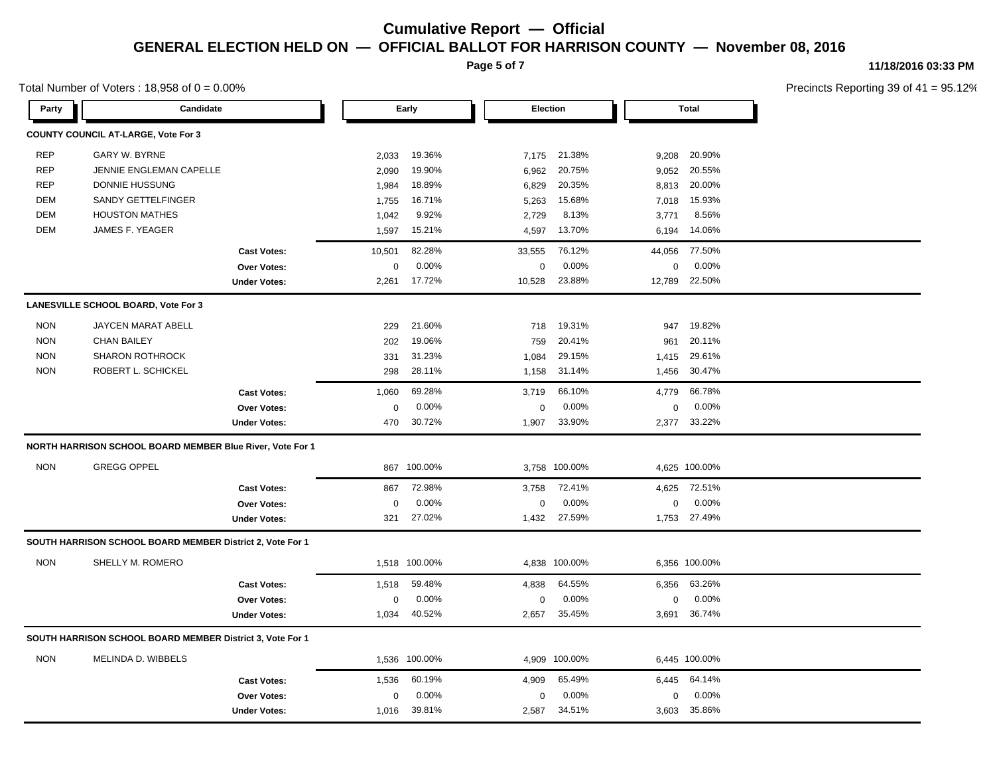**Page 5 of 7**

### **11/18/2016 03:33 PM**

| Total Number of Voters: 18,958 of $0 = 0.00\%$ |  |
|------------------------------------------------|--|
|------------------------------------------------|--|

| Party      | Candidate                                                 |                     |                  | Early         |          | Election      |        |               |  | <b>Total</b> |  |
|------------|-----------------------------------------------------------|---------------------|------------------|---------------|----------|---------------|--------|---------------|--|--------------|--|
|            | <b>COUNTY COUNCIL AT-LARGE, Vote For 3</b>                |                     |                  |               |          |               |        |               |  |              |  |
| <b>REP</b> | <b>GARY W. BYRNE</b>                                      |                     | 2,033            | 19.36%        | 7,175    | 21.38%        | 9,208  | 20.90%        |  |              |  |
| <b>REP</b> | JENNIE ENGLEMAN CAPELLE                                   |                     | 2,090            | 19.90%        | 6,962    | 20.75%        | 9,052  | 20.55%        |  |              |  |
| <b>REP</b> | <b>DONNIE HUSSUNG</b>                                     |                     | 1,984            | 18.89%        | 6,829    | 20.35%        | 8,813  | 20.00%        |  |              |  |
| DEM        | SANDY GETTELFINGER                                        |                     | 1,755            | 16.71%        | 5,263    | 15.68%        | 7,018  | 15.93%        |  |              |  |
| <b>DEM</b> | <b>HOUSTON MATHES</b>                                     |                     | 1,042            | 9.92%         | 2,729    | 8.13%         | 3,771  | 8.56%         |  |              |  |
| <b>DEM</b> | JAMES F. YEAGER                                           |                     | 1,597            | 15.21%        | 4,597    | 13.70%        | 6,194  | 14.06%        |  |              |  |
|            |                                                           | <b>Cast Votes:</b>  | 10,501           | 82.28%        | 33,555   | 76.12%        | 44,056 | 77.50%        |  |              |  |
|            |                                                           | Over Votes:         | $\mathbf 0$      | 0.00%         | 0        | 0.00%         | 0      | 0.00%         |  |              |  |
|            |                                                           | <b>Under Votes:</b> | 2,261            | 17.72%        | 10,528   | 23.88%        | 12,789 | 22.50%        |  |              |  |
|            | LANESVILLE SCHOOL BOARD, Vote For 3                       |                     |                  |               |          |               |        |               |  |              |  |
| <b>NON</b> | JAYCEN MARAT ABELL                                        |                     | 229              | 21.60%        | 718      | 19.31%        | 947    | 19.82%        |  |              |  |
| <b>NON</b> | <b>CHAN BAILEY</b>                                        |                     | 202              | 19.06%        | 759      | 20.41%        | 961    | 20.11%        |  |              |  |
| <b>NON</b> | <b>SHARON ROTHROCK</b>                                    |                     | 331              | 31.23%        | 1,084    | 29.15%        | 1,415  | 29.61%        |  |              |  |
| <b>NON</b> | ROBERT L. SCHICKEL                                        |                     | 298              | 28.11%        | 1,158    | 31.14%        | 1,456  | 30.47%        |  |              |  |
|            |                                                           | <b>Cast Votes:</b>  | 1,060            | 69.28%        | 3,719    | 66.10%        | 4.779  | 66.78%        |  |              |  |
|            |                                                           | Over Votes:         | $\boldsymbol{0}$ | 0.00%         | 0        | 0.00%         | 0      | 0.00%         |  |              |  |
|            |                                                           | <b>Under Votes:</b> | 470              | 30.72%        | 1,907    | 33.90%        |        | 2,377 33.22%  |  |              |  |
|            | NORTH HARRISON SCHOOL BOARD MEMBER Blue River, Vote For 1 |                     |                  |               |          |               |        |               |  |              |  |
| <b>NON</b> | <b>GREGG OPPEL</b>                                        |                     |                  | 867 100.00%   |          | 3,758 100.00% |        | 4,625 100.00% |  |              |  |
|            |                                                           | <b>Cast Votes:</b>  | 867              | 72.98%        | 3,758    | 72.41%        | 4,625  | 72.51%        |  |              |  |
|            |                                                           | Over Votes:         | $\mathbf 0$      | 0.00%         | 0        | 0.00%         | 0      | 0.00%         |  |              |  |
|            |                                                           | <b>Under Votes:</b> | 321              | 27.02%        | 1,432    | 27.59%        | 1,753  | 27.49%        |  |              |  |
|            | SOUTH HARRISON SCHOOL BOARD MEMBER District 2, Vote For 1 |                     |                  |               |          |               |        |               |  |              |  |
| <b>NON</b> | SHELLY M. ROMERO                                          |                     |                  | 1,518 100.00% |          | 4,838 100.00% |        | 6,356 100.00% |  |              |  |
|            |                                                           | <b>Cast Votes:</b>  | 1,518            | 59.48%        | 4,838    | 64.55%        | 6,356  | 63.26%        |  |              |  |
|            |                                                           | Over Votes:         | $\pmb{0}$        | 0.00%         | 0        | 0.00%         | 0      | 0.00%         |  |              |  |
|            |                                                           | <b>Under Votes:</b> | 1,034            | 40.52%        | 2,657    | 35.45%        |        | 3,691 36.74%  |  |              |  |
|            | SOUTH HARRISON SCHOOL BOARD MEMBER District 3, Vote For 1 |                     |                  |               |          |               |        |               |  |              |  |
| <b>NON</b> | <b>MELINDA D. WIBBELS</b>                                 |                     |                  | 1,536 100.00% |          | 4,909 100.00% |        | 6,445 100.00% |  |              |  |
|            |                                                           | <b>Cast Votes:</b>  | 1,536            | 60.19%        | 4,909    | 65.49%        | 6,445  | 64.14%        |  |              |  |
|            |                                                           | Over Votes:         | $\mathbf 0$      | 0.00%         | $\Omega$ | 0.00%         | 0      | 0.00%         |  |              |  |
|            |                                                           | <b>Under Votes:</b> | 1,016            | 39.81%        | 2,587    | 34.51%        |        | 3,603 35.86%  |  |              |  |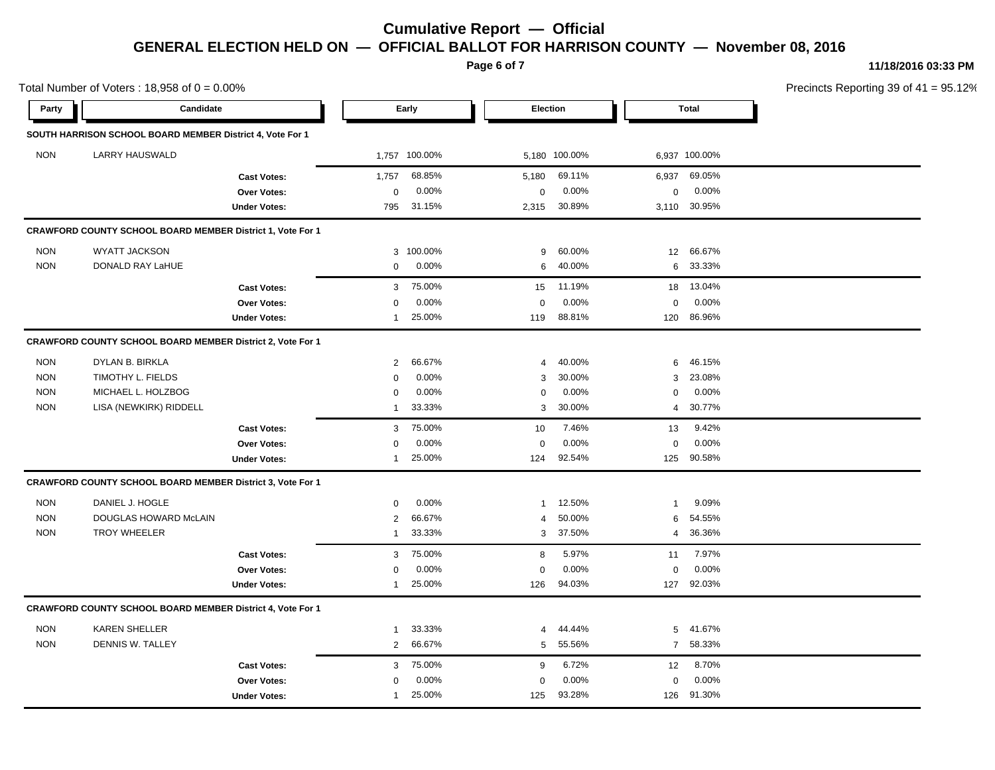**Page 6 of 7**

Total Number of Voters :  $18,958$  of  $0 = 0.00\%$ 

### **11/18/2016 03:33 PM**

| Party      | Candidate                                                  |                     |                       | Early         | Election     |               | <b>Total</b> |               |  |
|------------|------------------------------------------------------------|---------------------|-----------------------|---------------|--------------|---------------|--------------|---------------|--|
|            | SOUTH HARRISON SCHOOL BOARD MEMBER District 4, Vote For 1  |                     |                       |               |              |               |              |               |  |
| <b>NON</b> | <b>LARRY HAUSWALD</b>                                      |                     |                       | 1,757 100.00% |              | 5,180 100.00% |              | 6,937 100.00% |  |
|            |                                                            | <b>Cast Votes:</b>  | 1,757                 | 68.85%        | 5,180        | 69.11%        | 6,937        | 69.05%        |  |
|            |                                                            | Over Votes:         | 0                     | 0.00%         | $\mathbf 0$  | 0.00%         | 0            | $0.00\%$      |  |
|            |                                                            | <b>Under Votes:</b> | 795                   | 31.15%        | 2,315        | 30.89%        |              | 3,110 30.95%  |  |
|            | CRAWFORD COUNTY SCHOOL BOARD MEMBER District 1, Vote For 1 |                     |                       |               |              |               |              |               |  |
| <b>NON</b> | <b>WYATT JACKSON</b>                                       |                     |                       | 3 100.00%     | 9            | 60.00%        | 12           | 66.67%        |  |
| <b>NON</b> | DONALD RAY LaHUE                                           |                     | 0                     | 0.00%         | 6            | 40.00%        | 6            | 33.33%        |  |
|            |                                                            | <b>Cast Votes:</b>  | 3                     | 75.00%        | 15           | 11.19%        | 18           | 13.04%        |  |
|            |                                                            | Over Votes:         | 0                     | 0.00%         | $\mathbf 0$  | 0.00%         | 0            | 0.00%         |  |
|            |                                                            | <b>Under Votes:</b> | $\mathbf{1}$          | 25.00%        | 119          | 88.81%        | 120          | 86.96%        |  |
|            | CRAWFORD COUNTY SCHOOL BOARD MEMBER District 2, Vote For 1 |                     |                       |               |              |               |              |               |  |
| <b>NON</b> | DYLAN B. BIRKLA                                            |                     | $\mathbf{2}^{\prime}$ | 66.67%        | 4            | 40.00%        | 6            | 46.15%        |  |
| <b>NON</b> | TIMOTHY L. FIELDS                                          |                     | 0                     | 0.00%         | 3            | 30.00%        | 3            | 23.08%        |  |
| <b>NON</b> | MICHAEL L. HOLZBOG                                         |                     | 0                     | 0.00%         | 0            | 0.00%         | 0            | 0.00%         |  |
| <b>NON</b> | LISA (NEWKIRK) RIDDELL                                     |                     | 1                     | 33.33%        | 3            | 30.00%        | 4            | 30.77%        |  |
|            |                                                            | <b>Cast Votes:</b>  | 3                     | 75.00%        | 10           | 7.46%         | 13           | 9.42%         |  |
|            |                                                            | <b>Over Votes:</b>  | 0                     | 0.00%         | $\mathbf 0$  | 0.00%         | 0            | 0.00%         |  |
|            |                                                            | <b>Under Votes:</b> | 1                     | 25.00%        | 124          | 92.54%        | 125          | 90.58%        |  |
|            | CRAWFORD COUNTY SCHOOL BOARD MEMBER District 3, Vote For 1 |                     |                       |               |              |               |              |               |  |
| <b>NON</b> | DANIEL J. HOGLE                                            |                     | $\mathbf 0$           | 0.00%         | $\mathbf{1}$ | 12.50%        | 1            | 9.09%         |  |
| <b>NON</b> | DOUGLAS HOWARD McLAIN                                      |                     | $\overline{2}$        | 66.67%        | 4            | 50.00%        | 6            | 54.55%        |  |
| <b>NON</b> | <b>TROY WHEELER</b>                                        |                     | 1                     | 33.33%        | 3            | 37.50%        | 4            | 36.36%        |  |
|            |                                                            | <b>Cast Votes:</b>  | 3                     | 75.00%        | 8            | 5.97%         | 11           | 7.97%         |  |
|            |                                                            | Over Votes:         | 0                     | 0.00%         | $\mathbf 0$  | 0.00%         | 0            | 0.00%         |  |
|            |                                                            | <b>Under Votes:</b> | $\mathbf{1}$          | 25.00%        | 126          | 94.03%        | 127          | 92.03%        |  |
|            | CRAWFORD COUNTY SCHOOL BOARD MEMBER District 4, Vote For 1 |                     |                       |               |              |               |              |               |  |
| <b>NON</b> | <b>KAREN SHELLER</b>                                       |                     | $\mathbf{1}$          | 33.33%        | 4            | 44.44%        | 5            | 41.67%        |  |
| <b>NON</b> | <b>DENNIS W. TALLEY</b>                                    |                     | $\overline{2}$        | 66.67%        | 5            | 55.56%        |              | 7 58.33%      |  |
|            |                                                            | <b>Cast Votes:</b>  | 3                     | 75.00%        | 9            | 6.72%         | 12           | 8.70%         |  |
|            |                                                            | <b>Over Votes:</b>  | 0                     | 0.00%         | $\mathbf 0$  | 0.00%         | 0            | 0.00%         |  |
|            |                                                            | <b>Under Votes:</b> | -1                    | 25.00%        | 125          | 93.28%        | 126          | 91.30%        |  |